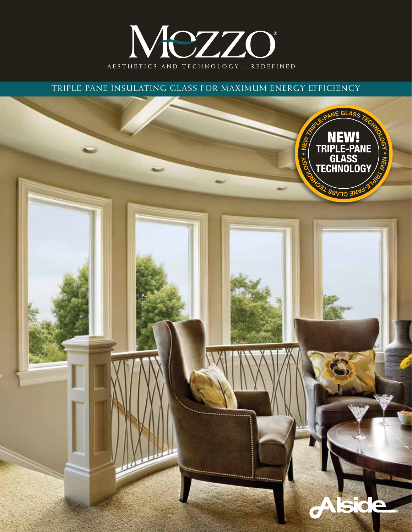

TRIPLE-PANE INSULATING GLASS FOR MAXIMUM ENERGY EFFICIENCY

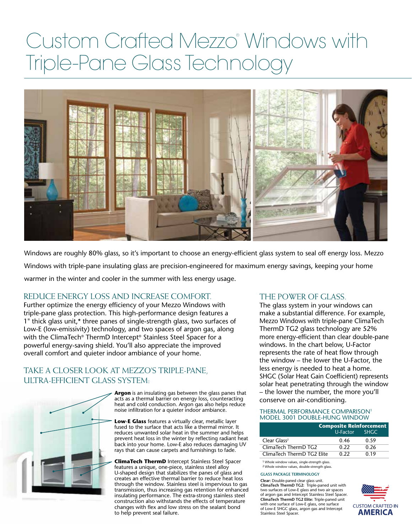# Custom Crafted Mezzo® Windows with Triple-Pane Glass Technology



Windows are roughly 80% glass, so it's important to choose an energy-efficient glass system to seal off energy loss. Mezzo Windows with triple-pane insulating glass are precision-engineered for maximum energy savings, keeping your home warmer in the winter and cooler in the summer with less energy usage.

### REDUCE ENERGY LOSS AND INCREASE COMFORT.

Further optimize the energy efficiency of your Mezzo Windows with triple-pane glass protection. This high-performance design features a 1" thick glass unit,\* three panes of single-strength glass, two surfaces of Low-E (low-emissivity) technology, and two spaces of argon gas, along with the ClimaTech® ThermD Intercept® Stainless Steel Spacer for a powerful energy-saving shield. You'll also appreciate the improved overall comfort and quieter indoor ambiance of your home.

## TAKE A CLOSER LOOK AT MEZZO'S TRIPLE-PANE, ULTRA-EFFICIENT GLASS SYSTEM:



**Argon** is an insulating gas between the glass panes that acts as a thermal barrier on energy loss, counteracting heat and cold conduction. Argon gas also helps reduce noise infiltration for a quieter indoor ambiance.

**Low-E Glass** features a virtually clear, metallic layer fused to the surface that acts like a thermal mirror. It reduces unwanted solar heat in the summer and helps prevent heat loss in the winter by reflecting radiant heat back into your home. Low-E also reduces damaging UV rays that can cause carpets and furnishings to fade.

**ClimaTech ThermD** Intercept Stainless Steel Spacer features a unique, one-piece, stainless steel alloy U-shaped design that stabilizes the panes of glass and creates an effective thermal barrier to reduce heat loss through the window. Stainless steel is impervious to gas transmission, thus increasing gas retention for enhanced insulating performance. The extra-strong stainless steel construction also withstands the effects of temperature changes with flex and low stress on the sealant bond to help prevent seal failure.

### THE POWER OF GLASS.

The glass system in your windows can make a substantial difference. For example, Mezzo Windows with triple-pane ClimaTech ThermD TG2 glass technology are 52% more energy-efficient than clear double-pane windows. In the chart below, U-Factor represents the rate of heat flow through the window – the lower the U-Factor, the less energy is needed to heat a home. SHGC (Solar Heat Gain Coefficient) represents solar heat penetrating through the window – the lower the number, the more you'll conserve on air-conditioning.

#### THERMAL PERFORMANCE COMPARISON<sup>1</sup> MODEL 3001 DOUBLE-HUNG WINDOW

|                            | <b>Composite Reinforcement</b> |             |
|----------------------------|--------------------------------|-------------|
|                            | U-Factor                       | <b>SHGC</b> |
| Clear Glass <sup>2</sup>   | 0.46                           | 0.59        |
| ClimaTech ThermD TG2       | O 22                           | 0.26        |
| ClimaTech ThermD TG2 Elite | O 22                           | 0 1 9       |
|                            |                                |             |

1 Whole window values, single-strength glass. 2 Whole window values, double-strength glass.

#### **GLASS PACKAGE TERMINOLOGY**

**Clear:** Double-paned clear glass unit. **ClimaTech ThermD TG2:** Triple-paned unit with two surfaces of Low-E glass and two air spaces of argon gas and Intercept Stainless Steel Spacer. **ClimaTech ThermD TG2 Elite:** Triple-paned unit with one surface of Low-E glass, one surface of Low-E SHGC glass, argon gas and Intercept Stainless Steel Spacer.

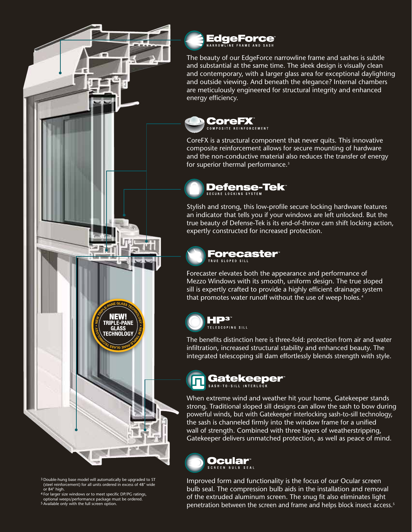

The beauty of our EdgeForce narrowline frame and sashes is subtle and substantial at the same time. The sleek design is visually clean and contemporary, with a larger glass area for exceptional daylighting and outside viewing. And beneath the elegance? Internal chambers are meticulously engineered for structural integrity and enhanced energy efficiency.



CoreFX is a structural component that never quits. This innovative composite reinforcement allows for secure mounting of hardware and the non-conductive material also reduces the transfer of energy for superior thermal performance.<sup>3</sup>



Stylish and strong, this low-profile secure locking hardware features an indicator that tells you if your windows are left unlocked. But the true beauty of Defense-Tek is its end-of-throw cam shift locking action, expertly constructed for increased protection.



Forecaster elevates both the appearance and performance of Mezzo Windows with its smooth, uniform design. The true sloped sill is expertly crafted to provide a highly efficient drainage system that promotes water runoff without the use of weep holes.<sup>4</sup>



The benefits distinction here is three-fold: protection from air and water infiltration, increased structural stability and enhanced beauty. The integrated telescoping sill dam effortlessly blends strength with style.



When extreme wind and weather hit your home, Gatekeeper stands strong. Traditional sloped sill designs can allow the sash to bow during powerful winds, but with Gatekeeper interlocking sash-to-sill technology, the sash is channeled firmly into the window frame for a unified wall of strength. Combined with three layers of weatherstripping, Gatekeeper delivers unmatched protection, as well as peace of mind.



Improved form and functionality is the focus of our Ocular screen bulb seal. The compression bulb aids in the installation and removal of the extruded aluminum screen. The snug fit also eliminates light penetration between the screen and frame and helps block insect access.<sup>5</sup>

3 Double-hung base model will automatically be upgraded to ST (steel reinforcement) for all units ordered in excess of 48" wide or 84" high.

NEW

TRIPLE-PANE<br>GLASS

**FECHNOLOGY** 

4 For larger size windows or to meet specific DP/PG ratings, optional weeps/performance package must be ordered. 5 Available only with the full screen option.